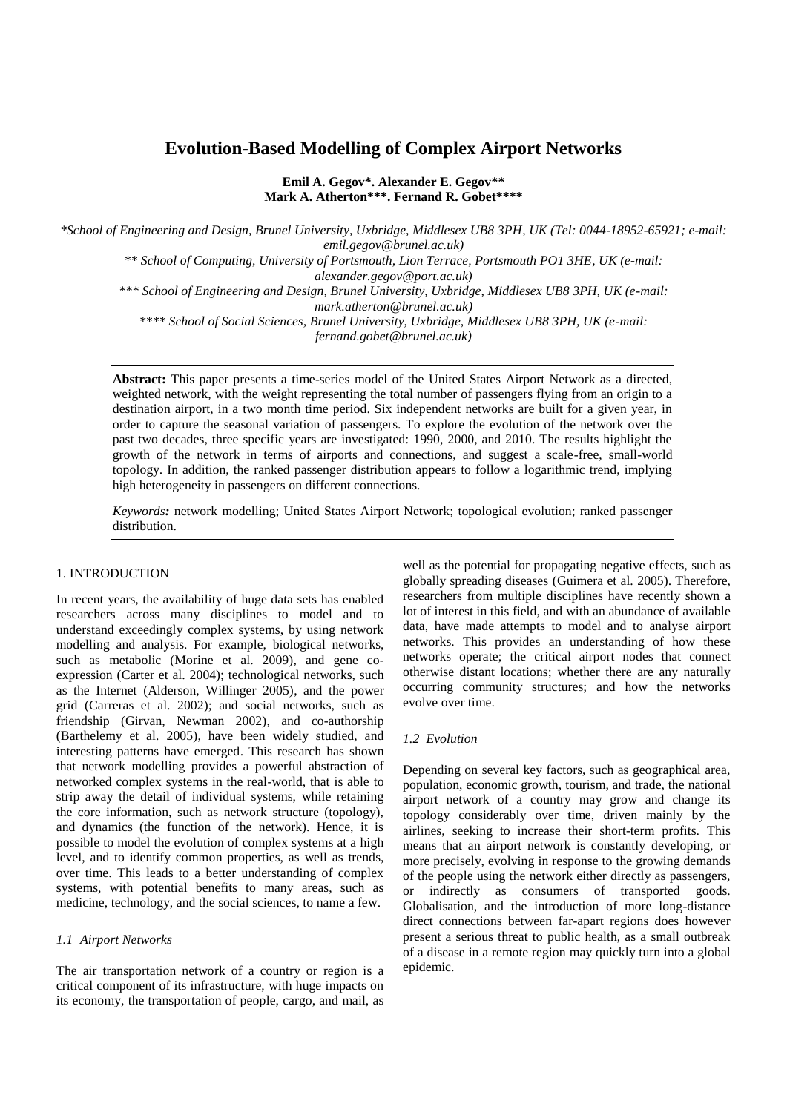# **Evolution-Based Modelling of Complex Airport Networks**

**Emil A. Gegov\*. Alexander E. Gegov\*\* Mark A. Atherton\*\*\*. Fernand R. Gobet\*\*\*\***

*\*School of Engineering and Design, Brunel University, Uxbridge, Middlesex UB8 3PH, UK (Tel: 0044-18952-65921; e-mail: emil.gegov@brunel.ac.uk)*

*\*\* School of Computing, University of Portsmouth, Lion Terrace, Portsmouth PO1 3HE, UK (e-mail:* 

*alexander.gegov@port.ac.uk)*

*\*\*\* School of Engineering and Design, Brunel University, Uxbridge, Middlesex UB8 3PH, UK (e-mail: mark.atherton@brunel.ac.uk)* 

*\*\*\*\* School of Social Sciences, Brunel University, Uxbridge, Middlesex UB8 3PH, UK (e-mail:* 

*fernand.gobet@brunel.ac.uk)*

**Abstract:** This paper presents a time-series model of the United States Airport Network as a directed, weighted network, with the weight representing the total number of passengers flying from an origin to a destination airport, in a two month time period. Six independent networks are built for a given year, in order to capture the seasonal variation of passengers. To explore the evolution of the network over the past two decades, three specific years are investigated: 1990, 2000, and 2010. The results highlight the growth of the network in terms of airports and connections, and suggest a scale-free, small-world topology. In addition, the ranked passenger distribution appears to follow a logarithmic trend, implying high heterogeneity in passengers on different connections.

*Keywords:* network modelling; United States Airport Network; topological evolution; ranked passenger distribution.

# 1. INTRODUCTION

In recent years, the availability of huge data sets has enabled researchers across many disciplines to model and to understand exceedingly complex systems, by using network modelling and analysis. For example, biological networks, such as metabolic (Morine et al. 2009), and gene coexpression (Carter et al. 2004); technological networks, such as the Internet (Alderson, Willinger 2005), and the power grid (Carreras et al. 2002); and social networks, such as friendship (Girvan, Newman 2002), and co-authorship (Barthelemy et al. 2005), have been widely studied, and interesting patterns have emerged. This research has shown that network modelling provides a powerful abstraction of networked complex systems in the real-world, that is able to strip away the detail of individual systems, while retaining the core information, such as network structure (topology), and dynamics (the function of the network). Hence, it is possible to model the evolution of complex systems at a high level, and to identify common properties, as well as trends, over time. This leads to a better understanding of complex systems, with potential benefits to many areas, such as medicine, technology, and the social sciences, to name a few.

# *1.1 Airport Networks*

The air transportation network of a country or region is a critical component of its infrastructure, with huge impacts on its economy, the transportation of people, cargo, and mail, as well as the potential for propagating negative effects, such as globally spreading diseases (Guimera et al. 2005). Therefore, researchers from multiple disciplines have recently shown a lot of interest in this field, and with an abundance of available data, have made attempts to model and to analyse airport networks. This provides an understanding of how these networks operate; the critical airport nodes that connect otherwise distant locations; whether there are any naturally occurring community structures; and how the networks evolve over time.

# *1.2 Evolution*

Depending on several key factors, such as geographical area, population, economic growth, tourism, and trade, the national airport network of a country may grow and change its topology considerably over time, driven mainly by the airlines, seeking to increase their short-term profits. This means that an airport network is constantly developing, or more precisely, evolving in response to the growing demands of the people using the network either directly as passengers, or indirectly as consumers of transported goods. Globalisation, and the introduction of more long-distance direct connections between far-apart regions does however present a serious threat to public health, as a small outbreak of a disease in a remote region may quickly turn into a global epidemic.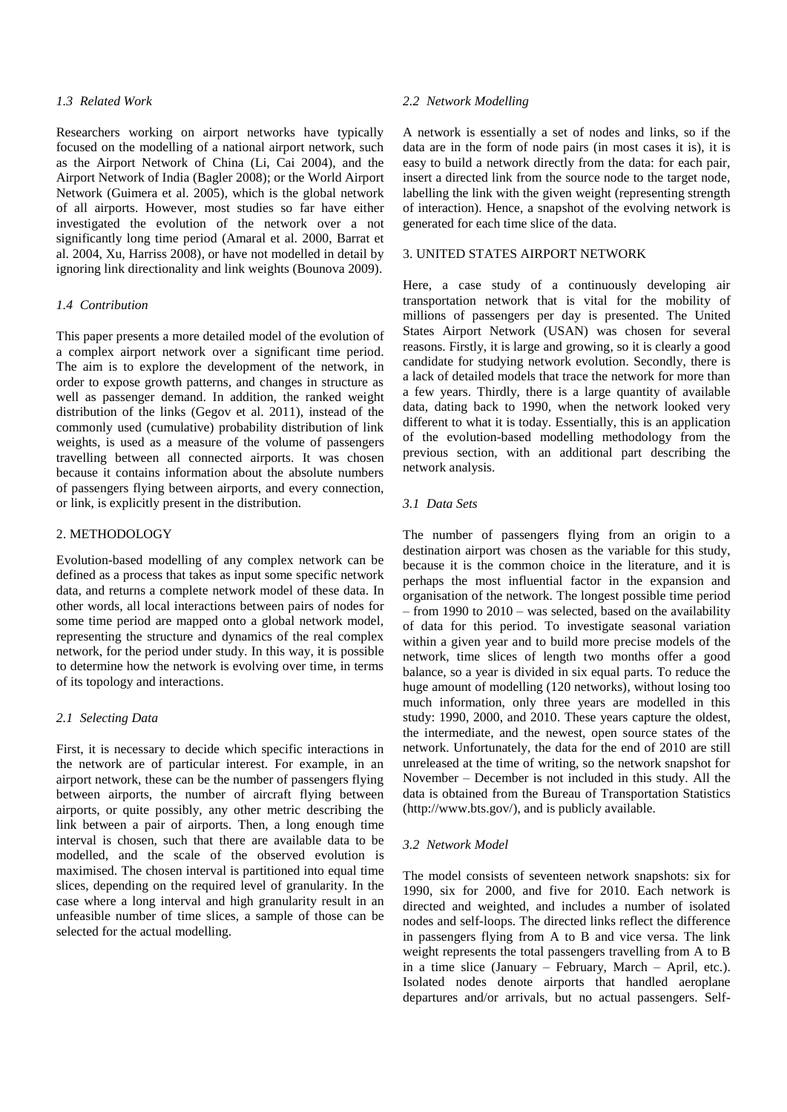#### *1.3 Related Work*

Researchers working on airport networks have typically focused on the modelling of a national airport network, such as the Airport Network of China (Li, Cai 2004), and the Airport Network of India (Bagler 2008); or the World Airport Network (Guimera et al. 2005), which is the global network of all airports. However, most studies so far have either investigated the evolution of the network over a not significantly long time period (Amaral et al. 2000, Barrat et al. 2004, Xu, Harriss 2008), or have not modelled in detail by ignoring link directionality and link weights (Bounova 2009).

#### *1.4 Contribution*

This paper presents a more detailed model of the evolution of a complex airport network over a significant time period. The aim is to explore the development of the network, in order to expose growth patterns, and changes in structure as well as passenger demand. In addition, the ranked weight distribution of the links (Gegov et al. 2011), instead of the commonly used (cumulative) probability distribution of link weights, is used as a measure of the volume of passengers travelling between all connected airports. It was chosen because it contains information about the absolute numbers of passengers flying between airports, and every connection, or link, is explicitly present in the distribution.

## 2. METHODOLOGY

Evolution-based modelling of any complex network can be defined as a process that takes as input some specific network data, and returns a complete network model of these data. In other words, all local interactions between pairs of nodes for some time period are mapped onto a global network model, representing the structure and dynamics of the real complex network, for the period under study. In this way, it is possible to determine how the network is evolving over time, in terms of its topology and interactions.

#### *2.1 Selecting Data*

First, it is necessary to decide which specific interactions in the network are of particular interest. For example, in an airport network, these can be the number of passengers flying between airports, the number of aircraft flying between airports, or quite possibly, any other metric describing the link between a pair of airports. Then, a long enough time interval is chosen, such that there are available data to be modelled, and the scale of the observed evolution is maximised. The chosen interval is partitioned into equal time slices, depending on the required level of granularity. In the case where a long interval and high granularity result in an unfeasible number of time slices, a sample of those can be selected for the actual modelling.

#### *2.2 Network Modelling*

A network is essentially a set of nodes and links, so if the data are in the form of node pairs (in most cases it is), it is easy to build a network directly from the data: for each pair, insert a directed link from the source node to the target node, labelling the link with the given weight (representing strength of interaction). Hence, a snapshot of the evolving network is generated for each time slice of the data.

# 3. UNITED STATES AIRPORT NETWORK

Here, a case study of a continuously developing air transportation network that is vital for the mobility of millions of passengers per day is presented. The United States Airport Network (USAN) was chosen for several reasons. Firstly, it is large and growing, so it is clearly a good candidate for studying network evolution. Secondly, there is a lack of detailed models that trace the network for more than a few years. Thirdly, there is a large quantity of available data, dating back to 1990, when the network looked very different to what it is today. Essentially, this is an application of the evolution-based modelling methodology from the previous section, with an additional part describing the network analysis.

## *3.1 Data Sets*

The number of passengers flying from an origin to a destination airport was chosen as the variable for this study, because it is the common choice in the literature, and it is perhaps the most influential factor in the expansion and organisation of the network. The longest possible time period – from 1990 to 2010 – was selected, based on the availability of data for this period. To investigate seasonal variation within a given year and to build more precise models of the network, time slices of length two months offer a good balance, so a year is divided in six equal parts. To reduce the huge amount of modelling (120 networks), without losing too much information, only three years are modelled in this study: 1990, 2000, and 2010. These years capture the oldest, the intermediate, and the newest, open source states of the network. Unfortunately, the data for the end of 2010 are still unreleased at the time of writing, so the network snapshot for November – December is not included in this study. All the data is obtained from the Bureau of Transportation Statistics (http://www.bts.gov/), and is publicly available.

#### *3.2 Network Model*

The model consists of seventeen network snapshots: six for 1990, six for 2000, and five for 2010. Each network is directed and weighted, and includes a number of isolated nodes and self-loops. The directed links reflect the difference in passengers flying from A to B and vice versa. The link weight represents the total passengers travelling from A to B in a time slice (January – February, March – April, etc.). Isolated nodes denote airports that handled aeroplane departures and/or arrivals, but no actual passengers. Self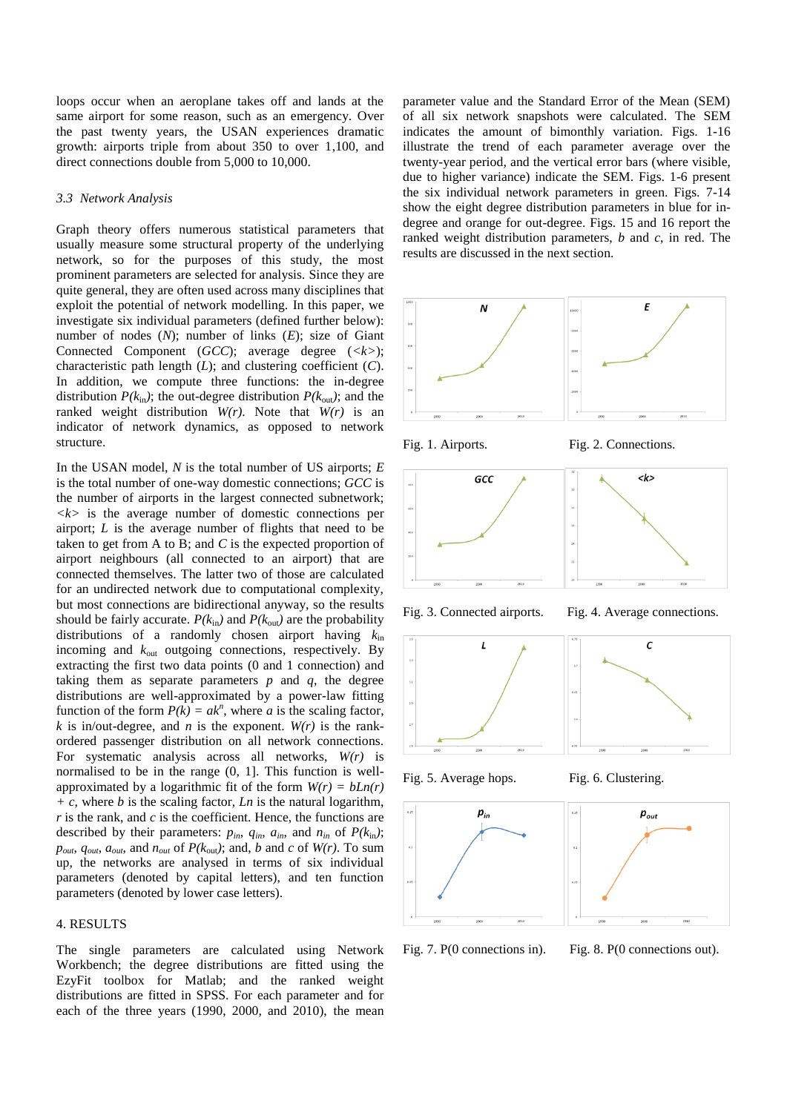loops occur when an aeroplane takes off and lands at the same airport for some reason, such as an emergency. Over the past twenty years, the USAN experiences dramatic growth: airports triple from about 350 to over 1,100, and direct connections double from 5,000 to 10,000.

#### *3.3 Network Analysis*

Graph theory offers numerous statistical parameters that usually measure some structural property of the underlying network, so for the purposes of this study, the most prominent parameters are selected for analysis. Since they are quite general, they are often used across many disciplines that exploit the potential of network modelling. In this paper, we investigate six individual parameters (defined further below): number of nodes (*N*); number of links (*E*); size of Giant Connected Component (*GCC*); average degree (*<k>*); characteristic path length (*L*); and clustering coefficient (*C*). In addition, we compute three functions: the in-degree distribution  $P(k_{\text{in}})$ ; the out-degree distribution  $P(k_{\text{out}})$ ; and the ranked weight distribution *W(r)*. Note that *W(r)* is an indicator of network dynamics, as opposed to network structure.

In the USAN model, *N* is the total number of US airports; *E* is the total number of one-way domestic connections; *GCC* is the number of airports in the largest connected subnetwork;  $\langle k \rangle$  is the average number of domestic connections per airport; *L* is the average number of flights that need to be taken to get from A to B; and *C* is the expected proportion of airport neighbours (all connected to an airport) that are connected themselves. The latter two of those are calculated for an undirected network due to computational complexity, but most connections are bidirectional anyway, so the results should be fairly accurate.  $P(k_{in})$  and  $P(k_{out})$  are the probability distributions of a randomly chosen airport having *k*in incoming and  $k_{\text{out}}$  outgoing connections, respectively. By extracting the first two data points (0 and 1 connection) and taking them as separate parameters  $p$  and  $q$ , the degree distributions are well-approximated by a power-law fitting function of the form  $P(k) = ak^n$ , where *a* is the scaling factor, *k* is in/out-degree, and *n* is the exponent.  $W(r)$  is the rankordered passenger distribution on all network connections. For systematic analysis across all networks, *W(r)* is normalised to be in the range (0, 1]. This function is wellapproximated by a logarithmic fit of the form  $W(r) = bLn(r)$ *+ c*, where *b* is the scaling factor, *Ln* is the natural logarithm, *r* is the rank, and *c* is the coefficient. Hence, the functions are described by their parameters:  $p_{in}$ ,  $q_{in}$ ,  $a_{in}$ , and  $n_{in}$  of  $P(k_{in})$ ;  $p_{out}$ ,  $q_{out}$ ,  $a_{out}$ , and  $n_{out}$  of  $P(k_{out})$ ; and, *b* and *c* of  $W(r)$ . To sum up, the networks are analysed in terms of six individual parameters (denoted by capital letters), and ten function parameters (denoted by lower case letters).

### 4. RESULTS

The single parameters are calculated using Network Workbench; the degree distributions are fitted using the EzyFit toolbox for Matlab; and the ranked weight distributions are fitted in SPSS. For each parameter and for each of the three years (1990, 2000, and 2010), the mean

parameter value and the Standard Error of the Mean (SEM) of all six network snapshots were calculated. The SEM indicates the amount of bimonthly variation. Figs. 1-16 illustrate the trend of each parameter average over the twenty-year period, and the vertical error bars (where visible, due to higher variance) indicate the SEM. Figs. 1-6 present the six individual network parameters in green. Figs. 7-14 show the eight degree distribution parameters in blue for indegree and orange for out-degree. Figs. 15 and 16 report the ranked weight distribution parameters, *b* and *c*, in red. The results are discussed in the next section.





Fig. 1. Airports. Fig. 2. Connections.













Fig. 7. P(0 connections in). Fig. 8. P(0 connections out).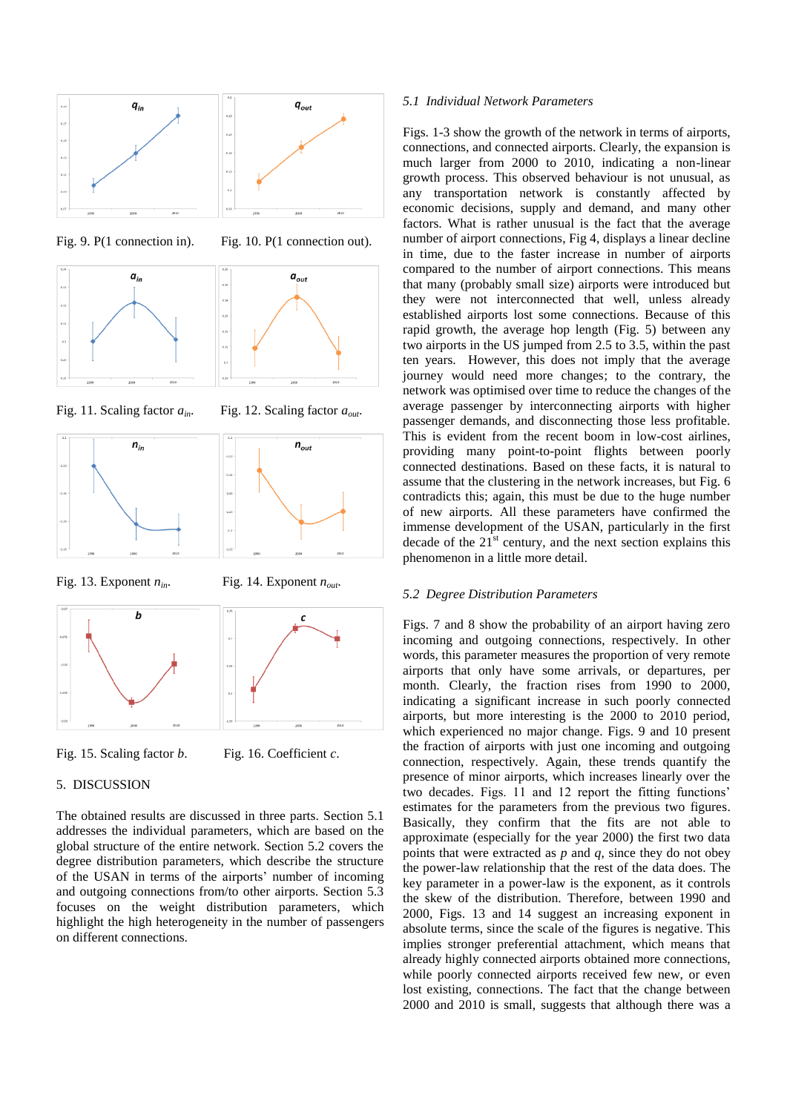

Fig. 9. P(1 connection in). Fig. 10. P(1 connection out).



Fig. 11. Scaling factor *ain*. Fig. 12. Scaling factor *aout*.





Fig. 13. Exponent  $n_{in}$ . Fig. 14. Exponent  $n_{out}$ .



Fig. 15. Scaling factor *b*. Fig. 16. Coefficient *c*.

## 5. DISCUSSION

The obtained results are discussed in three parts. Section 5.1 addresses the individual parameters, which are based on the global structure of the entire network. Section 5.2 covers the degree distribution parameters, which describe the structure of the USAN in terms of the airports' number of incoming and outgoing connections from/to other airports. Section 5.3 focuses on the weight distribution parameters, which highlight the high heterogeneity in the number of passengers on different connections.

#### *5.1 Individual Network Parameters*

Figs. 1-3 show the growth of the network in terms of airports, connections, and connected airports. Clearly, the expansion is much larger from 2000 to 2010, indicating a non-linear growth process. This observed behaviour is not unusual, as any transportation network is constantly affected by economic decisions, supply and demand, and many other factors. What is rather unusual is the fact that the average number of airport connections, Fig 4, displays a linear decline in time, due to the faster increase in number of airports compared to the number of airport connections. This means that many (probably small size) airports were introduced but they were not interconnected that well, unless already established airports lost some connections. Because of this rapid growth, the average hop length (Fig. 5) between any two airports in the US jumped from 2.5 to 3.5, within the past ten years. However, this does not imply that the average journey would need more changes; to the contrary, the network was optimised over time to reduce the changes of the average passenger by interconnecting airports with higher passenger demands, and disconnecting those less profitable. This is evident from the recent boom in low-cost airlines, providing many point-to-point flights between poorly connected destinations. Based on these facts, it is natural to assume that the clustering in the network increases, but Fig. 6 contradicts this; again, this must be due to the huge number of new airports. All these parameters have confirmed the immense development of the USAN, particularly in the first decade of the  $21<sup>st</sup>$  century, and the next section explains this phenomenon in a little more detail.

#### *5.2 Degree Distribution Parameters*

Figs. 7 and 8 show the probability of an airport having zero incoming and outgoing connections, respectively. In other words, this parameter measures the proportion of very remote airports that only have some arrivals, or departures, per month. Clearly, the fraction rises from 1990 to 2000, indicating a significant increase in such poorly connected airports, but more interesting is the 2000 to 2010 period, which experienced no major change. Figs. 9 and 10 present the fraction of airports with just one incoming and outgoing connection, respectively. Again, these trends quantify the presence of minor airports, which increases linearly over the two decades. Figs. 11 and 12 report the fitting functions' estimates for the parameters from the previous two figures. Basically, they confirm that the fits are not able to approximate (especially for the year 2000) the first two data points that were extracted as *p* and *q*, since they do not obey the power-law relationship that the rest of the data does. The key parameter in a power-law is the exponent, as it controls the skew of the distribution. Therefore, between 1990 and 2000, Figs. 13 and 14 suggest an increasing exponent in absolute terms, since the scale of the figures is negative. This implies stronger preferential attachment, which means that already highly connected airports obtained more connections, while poorly connected airports received few new, or even lost existing, connections. The fact that the change between 2000 and 2010 is small, suggests that although there was a